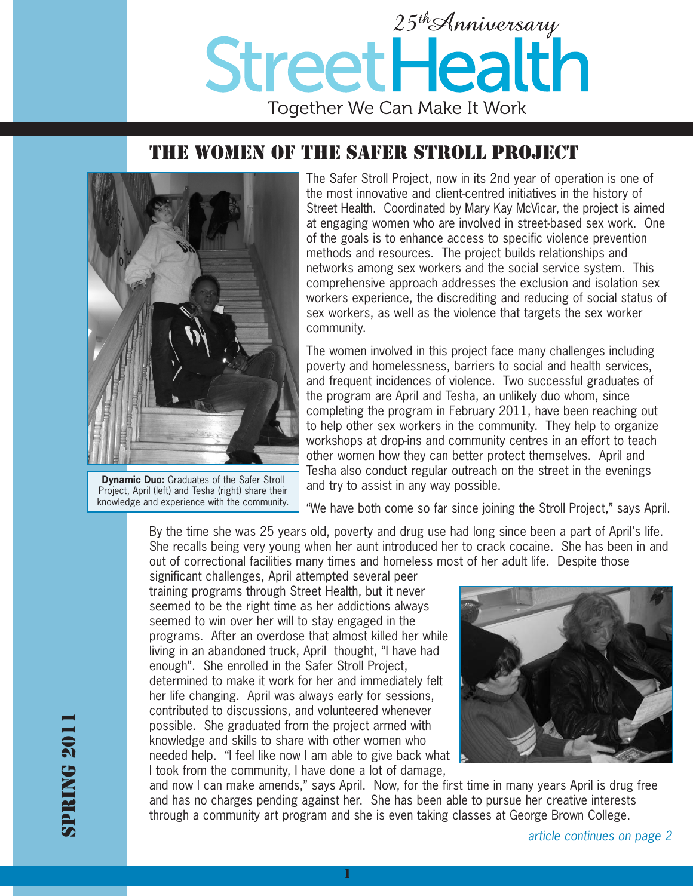

## THE WOMEN OF THE SAFER STROLL PROJECT



**Dynamic Duo:** Graduates of the Safer Stroll Project, April (left) and Tesha (right) share their knowledge and experience with the community.

The Safer Stroll Project, now in its 2nd year of operation is one of the most innovative and client-centred initiatives in the history of Street Health. Coordinated by Mary Kay McVicar, the project is aimed at engaging women who are involved in street-based sex work. One of the goals is to enhance access to specific violence prevention methods and resources. The project builds relationships and networks among sex workers and the social service system. This comprehensive approach addresses the exclusion and isolation sex workers experience, the discrediting and reducing of social status of sex workers, as well as the violence that targets the sex worker community.

The women involved in this project face many challenges including poverty and homelessness, barriers to social and health services, and frequent incidences of violence. Two successful graduates of the program are April and Tesha, an unlikely duo whom, since completing the program in February 2011, have been reaching out to help other sex workers in the community. They help to organize workshops at drop-ins and community centres in an effort to teach other women how they can better protect themselves. April and Tesha also conduct regular outreach on the street in the evenings and try to assist in any way possible.

"We have both come so far since joining the Stroll Project," says April.

By the time she was 25 years old, poverty and drug use had long since been a part of April's life. She recalls being very young when her aunt introduced her to crack cocaine. She has been in and out of correctional facilities many times and homeless most of her adult life. Despite those

significant challenges, April attempted several peer training programs through Street Health, but it never seemed to be the right time as her addictions always seemed to win over her will to stay engaged in the programs. After an overdose that almost killed her while living in an abandoned truck, April thought, "I have had enough". She enrolled in the Safer Stroll Project, determined to make it work for her and immediately felt her life changing. April was always early for sessions, contributed to discussions, and volunteered whenever possible. She graduated from the project armed with knowledge and skills to share with other women who needed help. "I feel like now I am able to give back what I took from the community, I have done a lot of damage,



and now I can make amends," says April. Now, for the first time in many years April is drug free and has no charges pending against her. She has been able to pursue her creative interests through a community art program and she is even taking classes at George Brown College.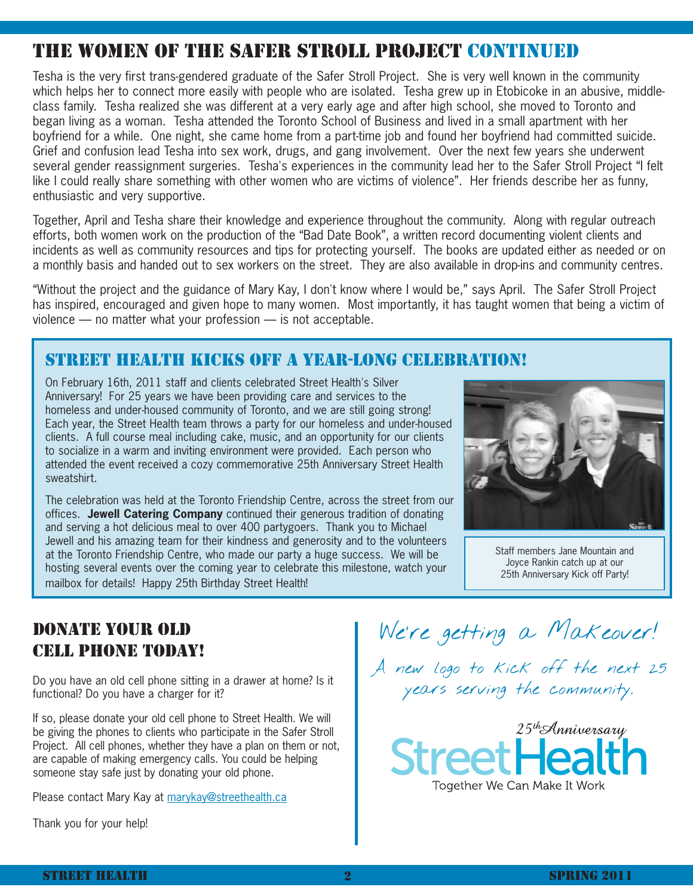# THE WOMEN OF THE SAFER STROLL PROJECT CONTINUED

Tesha is the very first trans-gendered graduate of the Safer Stroll Project. She is very well known in the community which helps her to connect more easily with people who are isolated. Tesha grew up in Etobicoke in an abusive, middleclass family. Tesha realized she was different at a very early age and after high school, she moved to Toronto and began living as a woman. Tesha attended the Toronto School of Business and lived in a small apartment with her boyfriend for a while. One night, she came home from a part-time job and found her boyfriend had committed suicide. Grief and confusion lead Tesha into sex work, drugs, and gang involvement. Over the next few years she underwent several gender reassignment surgeries. Tesha's experiences in the community lead her to the Safer Stroll Project "I felt like I could really share something with other women who are victims of violence". Her friends describe her as funny, enthusiastic and very supportive.

Together, April and Tesha share their knowledge and experience throughout the community. Along with regular outreach efforts, both women work on the production of the "Bad Date Book", a written record documenting violent clients and incidents as well as community resources and tips for protecting yourself. The books are updated either as needed or on a monthly basis and handed out to sex workers on the street. They are also available in drop-ins and community centres.

"Without the project and the guidance of Mary Kay, I don't know where I would be," says April. The Safer Stroll Project has inspired, encouraged and given hope to many women. Most importantly, it has taught women that being a victim of violence — no matter what your profession — is not acceptable.

### STREET HEALTH KICKS OFF A YEAR-LONG CELEBRATION!

On February 16th, 2011 staff and clients celebrated Street Health's Silver Anniversary! For 25 years we have been providing care and services to the homeless and under-housed community of Toronto, and we are still going strong! Each year, the Street Health team throws a party for our homeless and under-housed clients. A full course meal including cake, music, and an opportunity for our clients to socialize in a warm and inviting environment were provided. Each person who attended the event received a cozy commemorative 25th Anniversary Street Health sweatshirt.

The celebration was held at the Toronto Friendship Centre, across the street from our offices. **Jewell Catering Company** continued their generous tradition of donating and serving a hot delicious meal to over 400 partygoers. Thank you to Michael Jewell and his amazing team for their kindness and generosity and to the volunteers at the Toronto Friendship Centre, who made our party a huge success. We will be hosting several events over the coming year to celebrate this milestone, watch your mailbox for details! Happy 25th Birthday Street Health!



Staff members Jane Mountain and Joyce Rankin catch up at our 25th Anniversary Kick off Party!

### DONATE YOUR OLD CELL PHONE TODAY!

Do you have an old cell phone sitting in a drawer at home? Is it functional? Do you have a charger for it?

If so, please donate your old cell phone to Street Health. We will be giving the phones to clients who participate in the Safer Stroll Project. All cell phones, whether they have a plan on them or not, are capable of making emergency calls. You could be helping someone stay safe just by donating your old phone.

Please contact Mary Kay at marykay@streethealth.ca

Thank you for your help!

We're getting a Makeover!

A new logo to kick off the next 25 years serving the community.

 $25$ <sup>th</sup>Anniversary Street Hea Together We Can Make It Work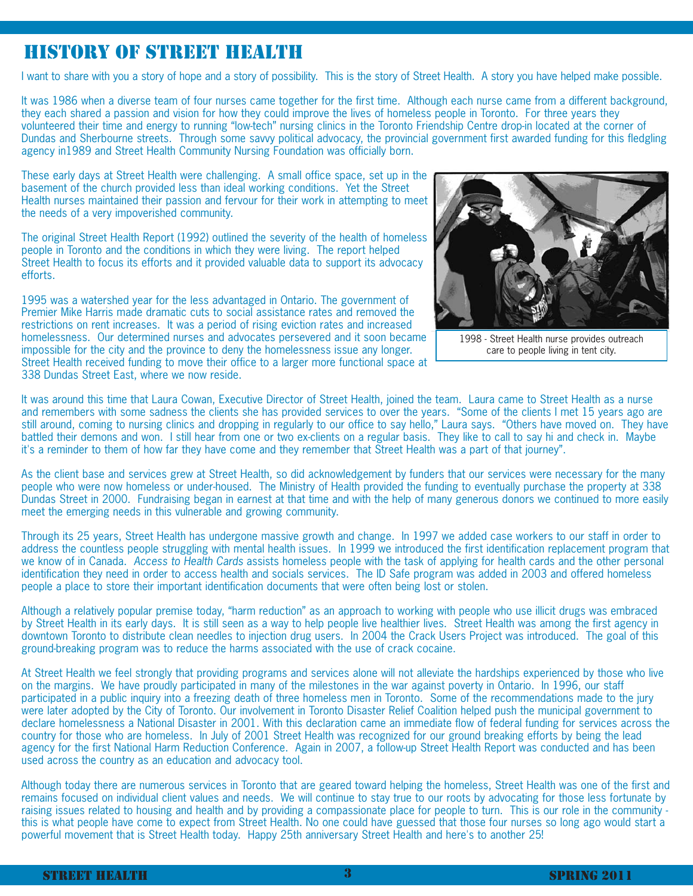## HISTORY OF STREET HEALTH

I want to share with you a story of hope and a story of possibility. This is the story of Street Health. A story you have helped make possible.

It was 1986 when a diverse team of four nurses came together for the first time. Although each nurse came from a different background, they each shared a passion and vision for how they could improve the lives of homeless people in Toronto. For three years they volunteered their time and energy to running "low-tech" nursing clinics in the Toronto Friendship Centre drop-in located at the corner of Dundas and Sherbourne streets. Through some savvy political advocacy, the provincial government first awarded funding for this fledgling agency in1989 and Street Health Community Nursing Foundation was officially born.

These early days at Street Health were challenging. A small office space, set up in the basement of the church provided less than ideal working conditions. Yet the Street Health nurses maintained their passion and fervour for their work in attempting to meet the needs of a very impoverished community.

The original Street Health Report (1992) outlined the severity of the health of homeless people in Toronto and the conditions in which they were living. The report helped Street Health to focus its efforts and it provided valuable data to support its advocacy efforts.

1995 was a watershed year for the less advantaged in Ontario. The government of Premier Mike Harris made dramatic cuts to social assistance rates and removed the restrictions on rent increases. It was a period of rising eviction rates and increased homelessness. Our determined nurses and advocates persevered and it soon became impossible for the city and the province to deny the homelessness issue any longer. Street Health received funding to move their office to a larger more functional space at 338 Dundas Street East, where we now reside.



1998 - Street Health nurse provides outreach care to people living in tent city.

It was around this time that Laura Cowan, Executive Director of Street Health, joined the team. Laura came to Street Health as a nurse and remembers with some sadness the clients she has provided services to over the years. "Some of the clients I met 15 years ago are still around, coming to nursing clinics and dropping in regularly to our office to say hello," Laura says. "Others have moved on. They have battled their demons and won. I still hear from one or two ex-clients on a regular basis. They like to call to say hi and check in. Maybe it's a reminder to them of how far they have come and they remember that Street Health was a part of that journey".

As the client base and services grew at Street Health, so did acknowledgement by funders that our services were necessary for the many people who were now homeless or under-housed. The Ministry of Health provided the funding to eventually purchase the property at 338 Dundas Street in 2000. Fundraising began in earnest at that time and with the help of many generous donors we continued to more easily meet the emerging needs in this vulnerable and growing community.

Through its 25 years, Street Health has undergone massive growth and change. In 1997 we added case workers to our staff in order to address the countless people struggling with mental health issues. In 1999 we introduced the first identification replacement program that we know of in Canada. Access to Health Cards assists homeless people with the task of applying for health cards and the other personal identification they need in order to access health and socials services. The ID Safe program was added in 2003 and offered homeless people a place to store their important identification documents that were often being lost or stolen.

Although a relatively popular premise today, "harm reduction" as an approach to working with people who use illicit drugs was embraced by Street Health in its early days. It is still seen as a way to help people live healthier lives. Street Health was among the first agency in downtown Toronto to distribute clean needles to injection drug users. In 2004 the Crack Users Project was introduced. The goal of this ground-breaking program was to reduce the harms associated with the use of crack cocaine.

At Street Health we feel strongly that providing programs and services alone will not alleviate the hardships experienced by those who live on the margins. We have proudly participated in many of the milestones in the war against poverty in Ontario. In 1996, our staff participated in a public inquiry into a freezing death of three homeless men in Toronto. Some of the recommendations made to the jury were later adopted by the City of Toronto. Our involvement in Toronto Disaster Relief Coalition helped push the municipal government to declare homelessness a National Disaster in 2001. With this declaration came an immediate flow of federal funding for services across the country for those who are homeless. In July of 2001 Street Health was recognized for our ground breaking efforts by being the lead agency for the first National Harm Reduction Conference. Again in 2007, a follow-up Street Health Report was conducted and has been used across the country as an education and advocacy tool.

Although today there are numerous services in Toronto that are geared toward helping the homeless, Street Health was one of the first and remains focused on individual client values and needs. We will continue to stay true to our roots by advocating for those less fortunate by raising issues related to housing and health and by providing a compassionate place for people to turn. This is our role in the community this is what people have come to expect from Street Health. No one could have guessed that those four nurses so long ago would start a powerful movement that is Street Health today. Happy 25th anniversary Street Health and here's to another 25!